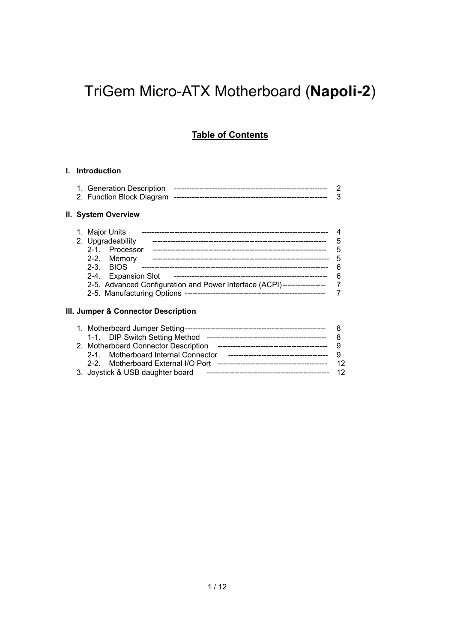# TriGem Micro-ATX Motherboard (**Napoli-2**)

# **Table of Contents**

### **I. Introduction**

### **II. System Overview**

| 1. Major Units                                                          |   |
|-------------------------------------------------------------------------|---|
| 2. Upgradeability                                                       | 5 |
| 2-1. Processor                                                          | 5 |
| 2-2. Memory                                                             | 5 |
| $2-3.$ BIOS                                                             | 6 |
| 2-4. Expansion Slot                                                     | 6 |
| 2-5. Advanced Configuration and Power Interface (ACPI)----------------- |   |
|                                                                         |   |
|                                                                         |   |

### **III. Jumper & Connector Description**

| 1-1. DIP Switch Setting Method       |     |
|--------------------------------------|-----|
| 2. Motherboard Connector Description |     |
| 2-1. Motherboard Internal Connector  |     |
|                                      | 12  |
| 3. Joystick & USB daughter board     | -12 |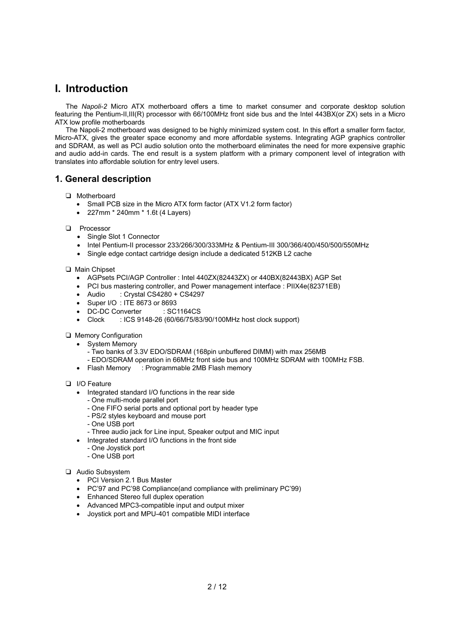# **I. Introduction**

The *Napoli-2* Micro ATX motherboard offers a time to market consumer and corporate desktop solution featuring the Pentium-II,III(R) processor with 66/100MHz front side bus and the Intel 443BX(or ZX) sets in a Micro ATX low profile motherboards

The Napoli-2 motherboard was designed to be highly minimized system cost. In this effort a smaller form factor, Micro-ATX, gives the greater space economy and more affordable systems. Integrating AGP graphics controller and SDRAM, as well as PCI audio solution onto the motherboard eliminates the need for more expensive graphic and audio add-in cards. The end result is a system platform with a primary component level of integration with translates into affordable solution for entry level users.

# **1. General description**

- T Motherboard
	- Small PCB size in the Micro ATX form factor (ATX V1.2 form factor)
	- 227mm \* 240mm \* 1.6t (4 Layers)
- **Q** Processor
	- Single Slot 1 Connector
	- Intel Pentium-II processor 233/266/300/333MHz & Pentium-III 300/366/400/450/500/550MHz
	- Single edge contact cartridge design include a dedicated 512KB L2 cache
- T Main Chipset
	- AGPsets PCI/AGP Controller : Intel 440ZX(82443ZX) or 440BX(82443BX) AGP Set
	- PCI bus mastering controller, and Power management interface : PIIX4e(82371EB)
	- Audio : Crystal CS4280 + CS4297
	- Super I/O : ITE 8673 or 8693
	- DC-DC Converter : SC1164CS
	- Clock : ICS 9148-26 (60/66/75/83/90/100MHz host clock support)
- **Q** Memory Configuration
	- System Memory
		- Two banks of 3.3V EDO/SDRAM (168pin unbuffered DIMM) with max 256MB
		- EDO/SDRAM operation in 66MHz front side bus and 100MHz SDRAM with 100MHz FSB.
	- Flash Memory : Programmable 2MB Flash memory
- D I/O Feature
	- Integrated standard I/O functions in the rear side
		- One multi-mode parallel port
		- One FIFO serial ports and optional port by header type
		- PS/2 styles keyboard and mouse port
		- One USB port
		- Three audio jack for Line input, Speaker output and MIC input
	- Integrated standard I/O functions in the front side
		- One Joystick port
		- One USB port
- T Audio Subsystem
	- PCI Version 2.1 Bus Master
	- PC'97 and PC'98 Compliance(and compliance with preliminary PC'99)
	- Enhanced Stereo full duplex operation
	- Advanced MPC3-compatible input and output mixer
	- Joystick port and MPU-401 compatible MIDI interface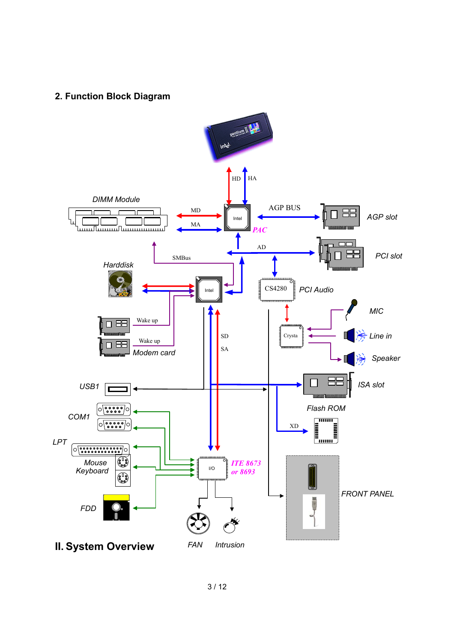# **2. Function Block Diagram**

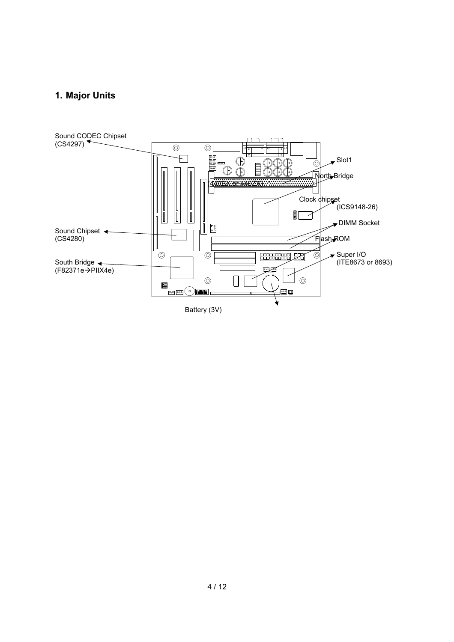# **1. Major Units**

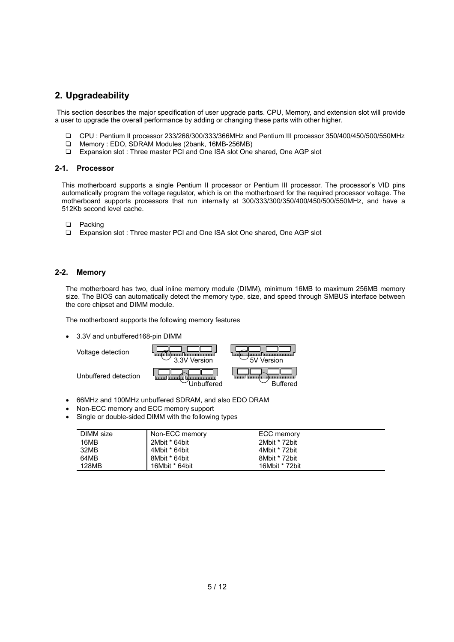# **2. Upgradeability**

This section describes the major specification of user upgrade parts. CPU, Memory, and extension slot will provide a user to upgrade the overall performance by adding or changing these parts with other higher.

- T CPU : Pentium II processor 233/266/300/333/366MHz and Pentium III processor 350/400/450/500/550MHz
- T Memory : EDO, SDRAM Modules (2bank, 16MB-256MB)
- T Expansion slot : Three master PCI and One ISA slot One shared, One AGP slot

#### **2-1. Processor**

This motherboard supports a single Pentium II processor or Pentium III processor. The processor's VID pins automatically program the voltage regulator, which is on the motherboard for the required processor voltage. The motherboard supports processors that run internally at 300/333/300/350/400/450/500/550MHz, and have a 512Kb second level cache.

- D Packing
- □ Expansion slot : Three master PCI and One ISA slot One shared, One AGP slot

### **2-2. Memory**

The motherboard has two, dual inline memory module (DIMM), minimum 16MB to maximum 256MB memory size. The BIOS can automatically detect the memory type, size, and speed through SMBUS interface between the core chipset and DIMM module.

The motherboard supports the following memory features

• 3.3V and unbuffered168-pin DIMM



- 66MHz and 100MHz unbuffered SDRAM, and also EDO DRAM
- Non-ECC memory and ECC memory support
- Single or double-sided DIMM with the following types

| DIMM size    | Non-ECC memory | ECC memory     |
|--------------|----------------|----------------|
| 16MB         | 2Mbit * 64bit  | 2Mbit * 72bit  |
| 32MB         | 4Mbit * 64bit  | 4Mbit * 72bit  |
| 64MB         | 8Mbit * 64bit  | 8Mbit * 72bit  |
| <b>128MB</b> | 16Mbit * 64bit | 16Mbit * 72bit |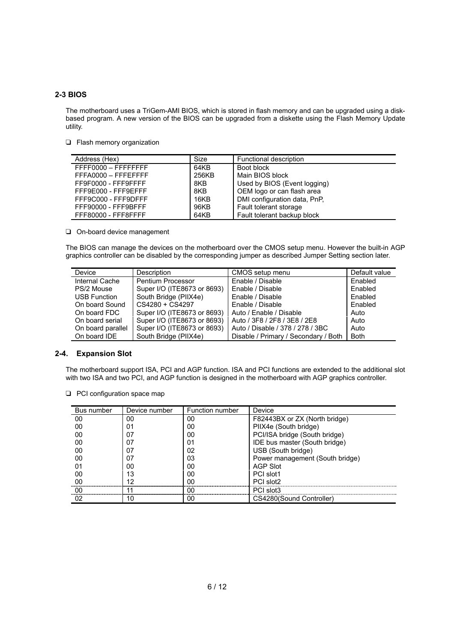### **2-3 BIOS**

The motherboard uses a TriGem-AMI BIOS, which is stored in flash memory and can be upgraded using a diskbased program. A new version of the BIOS can be upgraded from a diskette using the Flash Memory Update utility.

 $\Box$  Flash memory organization

| Address (Hex)       | Size  | Functional description       |
|---------------------|-------|------------------------------|
| FFFF0000 - FFFFFFFF | 64KB  | Boot block                   |
| FFFA0000 - FFFEFFFF | 256KB | Main BIOS block              |
| FF9F0000 - FFF9FFFF | 8KB   | Used by BIOS (Event logging) |
| FFF9E000 - FFF9EFFF | 8KB   | OEM logo or can flash area   |
| FFF9C000 - FFF9DFFF | 16KB  | DMI configuration data, PnP, |
| FFF90000 - FFF9BFFF | 96KB  | Fault tolerant storage       |
| FFF80000 - FFF8FFFF | 64KB  | Fault tolerant backup block  |

O On-board device management

The BIOS can manage the devices on the motherboard over the CMOS setup menu. However the built-in AGP graphics controller can be disabled by the corresponding jumper as described Jumper Setting section later.

| Device              | <b>Description</b>          | CMOS setup menu                      | Default value |
|---------------------|-----------------------------|--------------------------------------|---------------|
| Internal Cache      | Pentium Processor           | Enable / Disable                     | Enabled       |
| PS/2 Mouse          | Super I/O (ITE8673 or 8693) | Enable / Disable                     | Enabled       |
| <b>USB Function</b> | South Bridge (PIIX4e)       | Enable / Disable                     | Enabled       |
| On board Sound      | CS4280 + CS4297             | Enable / Disable                     | Enabled       |
| On board FDC        | Super I/O (ITE8673 or 8693) | Auto / Enable / Disable              | Auto          |
| On board serial     | Super I/O (ITE8673 or 8693) | Auto / 3F8 / 2F8 / 3E8 / 2E8         | Auto          |
| On board parallel   | Super I/O (ITE8673 or 8693) | Auto / Disable / 378 / 278 / 3BC     | Auto          |
| On board IDE        | South Bridge (PIIX4e)       | Disable / Primary / Secondary / Both | <b>Both</b>   |

### **2-4. Expansion Slot**

The motherboard support ISA, PCI and AGP function. ISA and PCI functions are extended to the additional slot with two ISA and two PCI, and AGP function is designed in the motherboard with AGP graphics controller.

 $\Box$  PCI configuration space map

| Bus number | Device number | Function number | Device                          |
|------------|---------------|-----------------|---------------------------------|
| 00         | 00            | 00              | F82443BX or ZX (North bridge)   |
| 00         | 01            | იი              | PIIX4e (South bridge)           |
| 00         | 07            | 00              | PCI/ISA bridge (South bridge)   |
| 00         | 07            | 01              | IDE bus master (South bridge)   |
| 00         | 07            | 02              | USB (South bridge)              |
| 00         | 07            | 03              | Power management (South bridge) |
|            | იი            | იი              | <b>AGP Slot</b>                 |
| 00         | 13            | იი              | PCI slot1                       |
| oc         | 19            | იი              | PCI slot2                       |
| nr         |               | იი              | PCI slot3                       |
|            |               | 00              | CS4280(Sound Controller)        |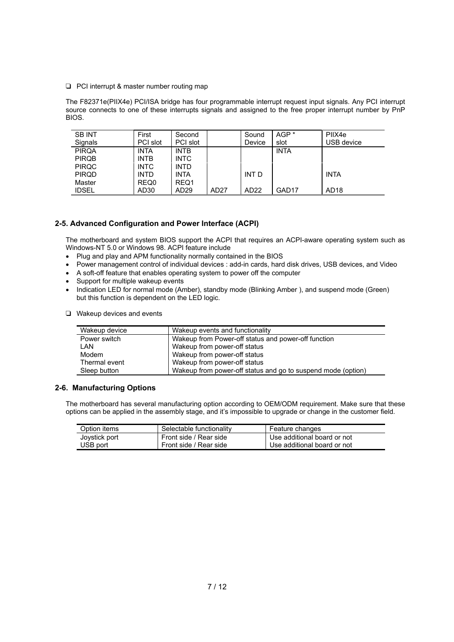$\Box$  PCI interrupt & master number routing map

The F82371e(PIIX4e) PCI/ISA bridge has four programmable interrupt request input signals. Any PCI interrupt source connects to one of these interrupts signals and assigned to the free proper interrupt number by PnP BIOS.

| <b>SB INT</b> | First            | Second           |                  | Sound  | AGP <sup>*</sup> | PIIX4e           |
|---------------|------------------|------------------|------------------|--------|------------------|------------------|
| Signals       | PCI slot         | PCI slot         |                  | Device | slot             | USB device       |
| <b>PIRQA</b>  | <b>INTA</b>      | <b>INTB</b>      |                  |        | <b>INTA</b>      |                  |
| <b>PIRQB</b>  | <b>INTB</b>      | <b>INTC</b>      |                  |        |                  |                  |
| <b>PIRQC</b>  | <b>INTC</b>      | <b>INTD</b>      |                  |        |                  |                  |
| <b>PIRQD</b>  | <b>INTD</b>      | <b>INTA</b>      |                  | INT D  |                  | <b>INTA</b>      |
| Master        | REQ0             | REQ1             |                  |        |                  |                  |
| <b>IDSEL</b>  | AD <sub>30</sub> | AD <sub>29</sub> | AD <sub>27</sub> | AD22   | GAD17            | AD <sub>18</sub> |

### **2-5. Advanced Configuration and Power Interface (ACPI)**

The motherboard and system BIOS support the ACPI that requires an ACPI-aware operating system such as Windows-NT 5.0 or Windows 98. ACPI feature include

- Plug and play and APM functionality normally contained in the BIOS
- Power management control of individual devices : add-in cards, hard disk drives, USB devices, and Video
- A soft-off feature that enables operating system to power off the computer
- Support for multiple wakeup events
- Indication LED for normal mode (Amber), standby mode (Blinking Amber ), and suspend mode (Green) but this function is dependent on the LED logic.
- $\Box$  Wakeup devices and events

| Wakeup device | Wakeup events and functionality                              |
|---------------|--------------------------------------------------------------|
| Power switch  | Wakeup from Power-off status and power-off function          |
| LAN           | Wakeup from power-off status                                 |
| Modem         | Wakeup from power-off status                                 |
| Thermal event | Wakeup from power-off status                                 |
| Sleep button  | Wakeup from power-off status and go to suspend mode (option) |

### **2-6. Manufacturing Options**

The motherboard has several manufacturing option according to OEM/ODM requirement. Make sure that these options can be applied in the assembly stage, and it's impossible to upgrade or change in the customer field.

| Option items  | Selectable functionality | Feature changes             |
|---------------|--------------------------|-----------------------------|
| Joystick port | Front side / Rear side   | Use additional board or not |
| USB port      | Front side / Rear side   | Use additional board or not |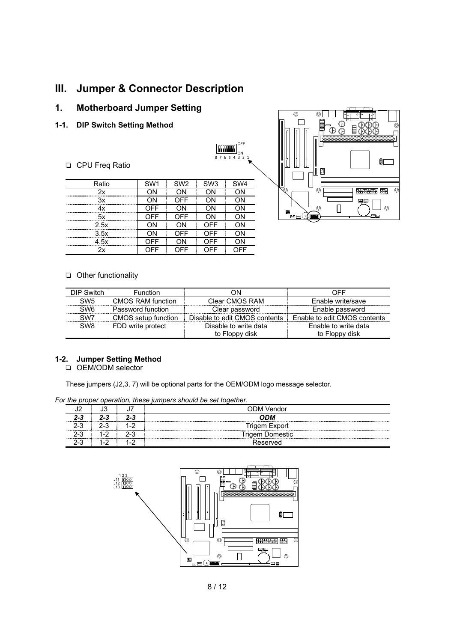# **III. Jumper & Connector Description**

# **1. Motherboard Jumper Setting**

**1-1. DIP Switch Setting Method**

### **Q** CPU Freq Ratio



3.5x | ON | OFF | OFF | ON 4.5x | OFF | ON | OFF | ON 2x OFF OFF OFF OFF



#### $\Box$  Other functionality

| DIP Switch<br><b>Function</b>        |                     | ΟN                            | OFF                          |
|--------------------------------------|---------------------|-------------------------------|------------------------------|
| SW <sub>5</sub><br>CMOS RAM function |                     | Clear CMOS RAM                | Enable write/save            |
| SW <sub>6</sub><br>Password function |                     | Clear password                | Enable password              |
| SW <sub>7</sub>                      | CMOS setup function | Disable to edit CMOS contents | Enable to edit CMOS contents |
| SW <sub>8</sub><br>FDD write protect |                     | Disable to write data         | Enable to write data         |
|                                      |                     | to Floppy disk                | to Floppy disk               |

### **1-2. Jumper Setting Method**

D OEM/ODM selector

These jumpers (J2,3, 7) will be optional parts for the OEM/ODM logo message selector.

*For the proper operation, these jumpers should be set together.*

|     | ບບ    |         | ODM Vendor             |
|-----|-------|---------|------------------------|
| 2-3 | 2-3   | 2-3     | ODM                    |
| 2-3 | $2-3$ |         | <b>Trigem Export</b>   |
| 2-3 | $1-2$ | $2 - 3$ | <b>Trigem Domestic</b> |
| ົ   |       | 1-2     | Reserved               |

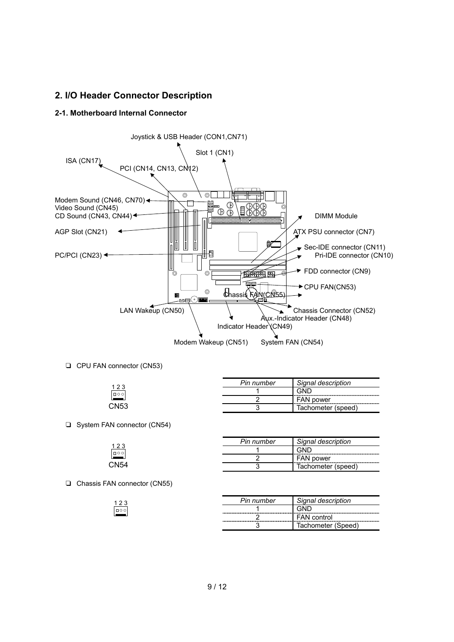# **2. I/O Header Connector Description**

### **2-1. Motherboard Internal Connector**



**Q** CPU FAN connector (CN53)

| າາ     | Din<br>number |                                      |
|--------|---------------|--------------------------------------|
| $\Box$ |               | . .                                  |
|        |               | power<br>- '<br>11 Y                 |
| מאור   |               | 71A1<br>-<br><b>ISDEEC</b><br>ייטנטו |

□ System FAN connector (CN54)

|      | Pin number                                           | Signal description |
|------|------------------------------------------------------|--------------------|
| 1000 | ------------<br>------------------------------------ |                    |
|      | --------<br>--------------------                     | <b>FAN power</b>   |
| CN54 |                                                      | Tachometer (speed) |

T Chassis FAN connector (CN55)

 $\frac{123}{100}$ 

| Pin number | Signal description     |
|------------|------------------------|
|            |                        |
|            | <b>FAN</b> control<br> |
|            | Tachometer (Speed)     |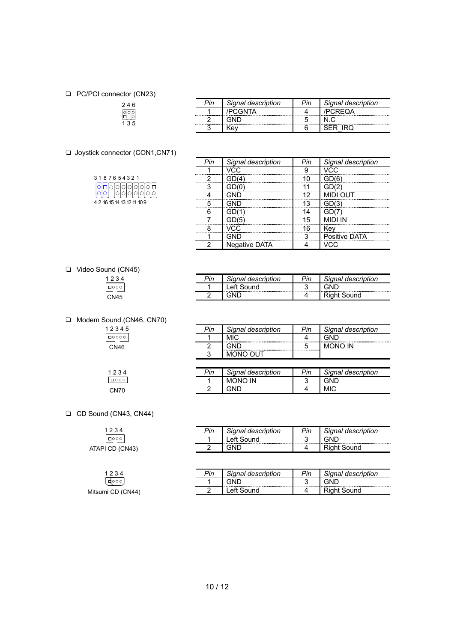#### D PC/PCI connector (CN23)

# 2 4 6 1 3 5

□ Joystick connector (CON1,CN71)

| 3187654321                           |  |  |  |  |  |
|--------------------------------------|--|--|--|--|--|
| ogooooooog<br> oo  oo  o  o  o  o  o |  |  |  |  |  |
| 4 2 16 15 14 13 12 11 10 9           |  |  |  |  |  |

|            | Signal description | Signal description |
|------------|--------------------|--------------------|
| ---------- |                    |                    |
| ---------  |                    |                    |
|            |                    |                    |

|           | Signal description | nal description |
|-----------|--------------------|-----------------|
| --------- |                    |                 |
|           |                    |                 |
|           |                    |                 |
|           |                    |                 |
|           |                    |                 |
|           |                    |                 |
|           |                    |                 |
|           | .                  |                 |
|           |                    | Positive DATA   |
|           |                    |                 |

### T Video Sound (CN45)

| 4<br>23                 |  |
|-------------------------|--|
| $\overline{\mathbb{F}}$ |  |
| 5<br>۷Z                 |  |

□ Modem Sound (CN46, CN70)

| 2345                         |
|------------------------------|
| $\overline{\circ\circ\circ}$ |
| ŀĥ<br>NИ                     |

 $1234$ CN70

| Pin | Signal description | Pin | Signal description |
|-----|--------------------|-----|--------------------|
|     | MIC                |     |                    |
|     |                    |     | <b>MONO IN</b>     |
|     | TI IN NINM.        |     |                    |

*Pin Signal description Pin Signal description*

2 GND 4 Right Sound

Left Sound

**MONO OUT** 

| Signal description | Pin | Signal description |
|--------------------|-----|--------------------|
|                    |     |                    |
|                    |     |                    |

**D** CD Sound (CN43, CN44)

| 1234                  |  |
|-----------------------|--|
| $\boxed{\square 000}$ |  |
| ATAPI CD (CN43)       |  |

| 1234              |
|-------------------|
| (क्००)            |
| Mitsumi CD (CN44) |

| Þin      | Signal description | Pin | Signal description |
|----------|--------------------|-----|--------------------|
| -------- | Left Sound         |     |                    |
|          |                    |     | t Sound            |
|          |                    |     |                    |

| Pin | Signal description | Pin | Signal description |
|-----|--------------------|-----|--------------------|
|     |                    |     |                    |
|     | eft Sound          |     | Riaht Sound        |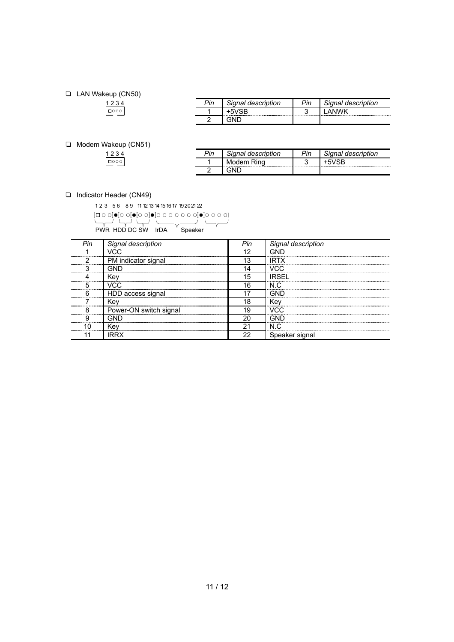### T LAN Wakeup (CN50)

| ⊃in | Signal description | ית<br>חור | Signal description |
|-----|--------------------|-----------|--------------------|
|     | 3R                 |           |                    |
|     |                    |           |                    |

### T Modem Wakeup (CN51)

| nir | Signal description | 'n | <sup>ন</sup> ignal description |
|-----|--------------------|----|--------------------------------|
|     |                    |    |                                |
|     |                    |    |                                |

□ Indicator Header (CN49)

1 2 3 5 6 8 9 11 12 13 14 15 16 17 19 20 21 22

PWR HDD DC SW IrDA Speaker

| Pin                       | Signal description     | Pin             | Signal description |
|---------------------------|------------------------|-----------------|--------------------|
|                           |                        | 10              |                    |
|                           | PM indicator signal    | 13              | IRTX               |
|                           |                        | -----------<br> | VCC.               |
|                           | Kev                    | 15              | <b>IRSEL</b>       |
| ,,,,,,,,,,,,,,,,,,,,,,,,, | VCC.                   | 16              | N.C                |
|                           | HDD access signal      |                 |                    |
|                           | Kev                    | 18              | Kev                |
|                           | Power-ON switch signal | 19              | חחו                |
|                           |                        | 20              |                    |
|                           | Ke۱                    | Ω1              | N C                |
|                           | IRR)                   |                 | Speaker signal     |